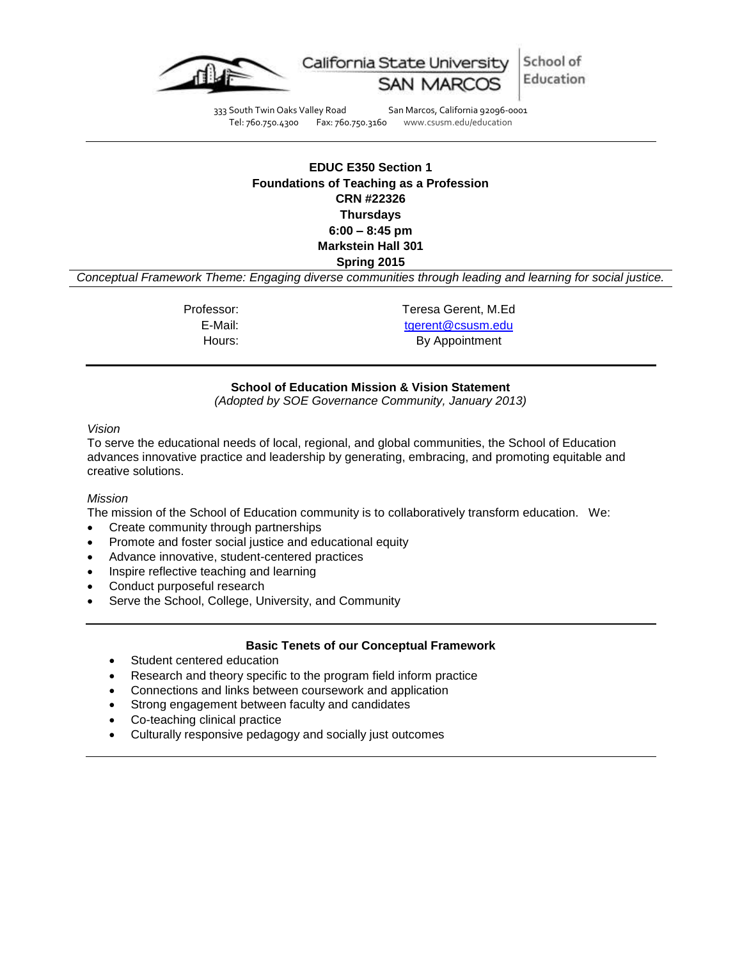

333 South Twin Oaks Valley Road San Marcos, California 92096-0001<br>Tel: 760.750.4300 Fax: 760.750.3160 www.csusm.edu/education www.csusm.edu/education

# **EDUC E350 Section 1 Foundations of Teaching as a Profession CRN #22326 Thursdays 6:00 – 8:45 pm Markstein Hall 301 Spring 2015**

*Conceptual Framework Theme: Engaging diverse communities through leading and learning for social justice.*

Professor: Teresa Gerent, M.Ed E-Mail: [tgerent@csusm.edu](mailto:tgerent@csusm.edu) Hours: By Appointment

#### **School of Education Mission & Vision Statement**

*(Adopted by SOE Governance Community, January 2013)*

#### *Vision*

To serve the educational needs of local, regional, and global communities, the School of Education advances innovative practice and leadership by generating, embracing, and promoting equitable and creative solutions.

#### *Mission*

The mission of the School of Education community is to collaboratively transform education. We:

- Create community through partnerships
- Promote and foster social justice and educational equity
- Advance innovative, student-centered practices
- Inspire reflective teaching and learning
- Conduct purposeful research
- Serve the School, College, University, and Community

#### **Basic Tenets of our Conceptual Framework**

- Student centered education
- Research and theory specific to the program field inform practice
- Connections and links between coursework and application
- Strong engagement between faculty and candidates
- Co-teaching clinical practice
- Culturally responsive pedagogy and socially just outcomes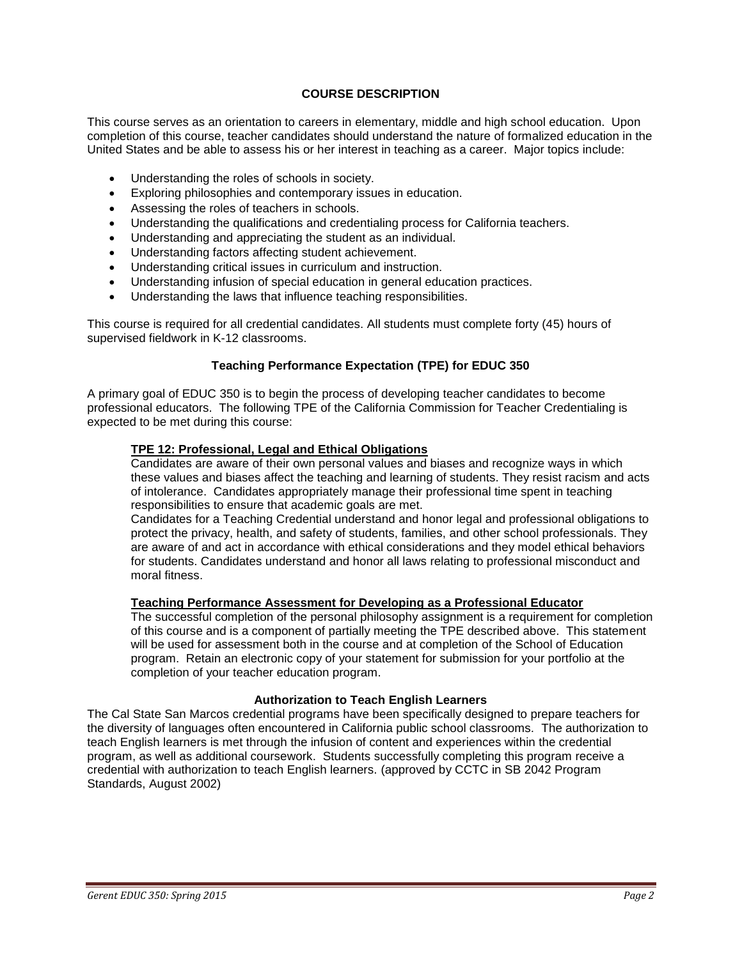## **COURSE DESCRIPTION**

This course serves as an orientation to careers in elementary, middle and high school education. Upon completion of this course, teacher candidates should understand the nature of formalized education in the United States and be able to assess his or her interest in teaching as a career. Major topics include:

- Understanding the roles of schools in society.
- Exploring philosophies and contemporary issues in education.
- Assessing the roles of teachers in schools.
- Understanding the qualifications and credentialing process for California teachers.
- Understanding and appreciating the student as an individual.
- Understanding factors affecting student achievement.
- Understanding critical issues in curriculum and instruction.
- Understanding infusion of special education in general education practices.
- Understanding the laws that influence teaching responsibilities.

This course is required for all credential candidates. All students must complete forty (45) hours of supervised fieldwork in K-12 classrooms.

## **Teaching Performance Expectation (TPE) for EDUC 350**

A primary goal of EDUC 350 is to begin the process of developing teacher candidates to become professional educators. The following TPE of the California Commission for Teacher Credentialing is expected to be met during this course:

### **TPE 12: Professional, Legal and Ethical Obligations**

Candidates are aware of their own personal values and biases and recognize ways in which these values and biases affect the teaching and learning of students. They resist racism and acts of intolerance. Candidates appropriately manage their professional time spent in teaching responsibilities to ensure that academic goals are met.

Candidates for a Teaching Credential understand and honor legal and professional obligations to protect the privacy, health, and safety of students, families, and other school professionals. They are aware of and act in accordance with ethical considerations and they model ethical behaviors for students. Candidates understand and honor all laws relating to professional misconduct and moral fitness.

#### **Teaching Performance Assessment for Developing as a Professional Educator**

The successful completion of the personal philosophy assignment is a requirement for completion of this course and is a component of partially meeting the TPE described above. This statement will be used for assessment both in the course and at completion of the School of Education program. Retain an electronic copy of your statement for submission for your portfolio at the completion of your teacher education program.

#### **Authorization to Teach English Learners**

The Cal State San Marcos credential programs have been specifically designed to prepare teachers for the diversity of languages often encountered in California public school classrooms. The authorization to teach English learners is met through the infusion of content and experiences within the credential program, as well as additional coursework. Students successfully completing this program receive a credential with authorization to teach English learners. (approved by CCTC in SB 2042 Program Standards, August 2002)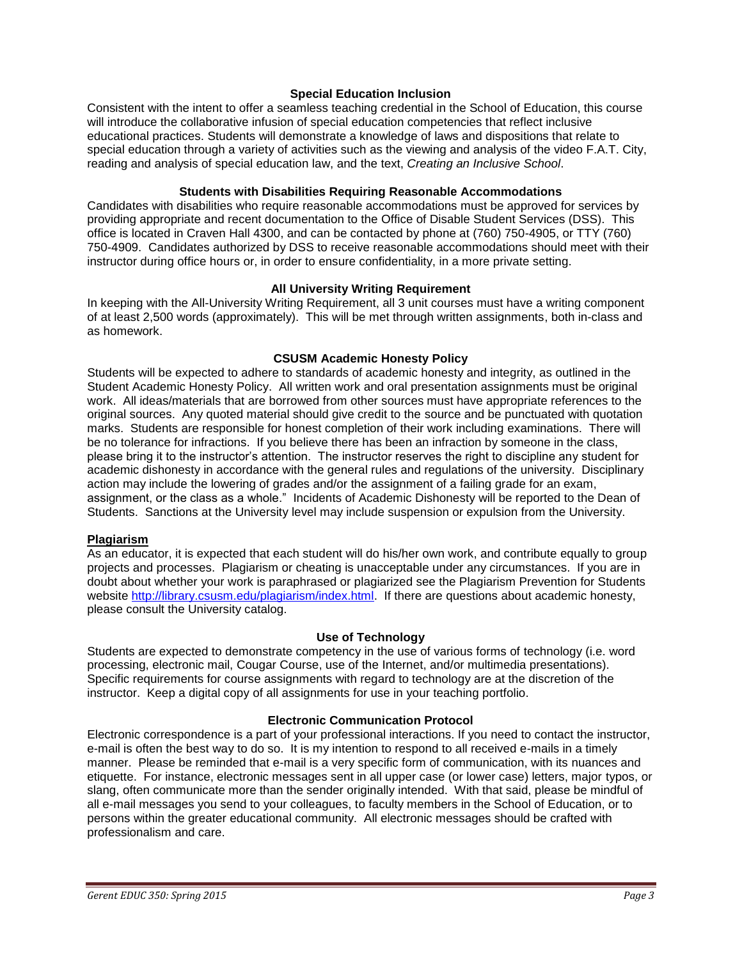#### **Special Education Inclusion**

Consistent with the intent to offer a seamless teaching credential in the School of Education, this course will introduce the collaborative infusion of special education competencies that reflect inclusive educational practices. Students will demonstrate a knowledge of laws and dispositions that relate to special education through a variety of activities such as the viewing and analysis of the video F.A.T. City, reading and analysis of special education law, and the text, *Creating an Inclusive School*.

#### **Students with Disabilities Requiring Reasonable Accommodations**

Candidates with disabilities who require reasonable accommodations must be approved for services by providing appropriate and recent documentation to the Office of Disable Student Services (DSS). This office is located in Craven Hall 4300, and can be contacted by phone at (760) 750-4905, or TTY (760) 750-4909. Candidates authorized by DSS to receive reasonable accommodations should meet with their instructor during office hours or, in order to ensure confidentiality, in a more private setting.

### **All University Writing Requirement**

In keeping with the All-University Writing Requirement, all 3 unit courses must have a writing component of at least 2,500 words (approximately). This will be met through written assignments, both in-class and as homework.

### **CSUSM Academic Honesty Policy**

Students will be expected to adhere to standards of academic honesty and integrity, as outlined in the Student Academic Honesty Policy. All written work and oral presentation assignments must be original work. All ideas/materials that are borrowed from other sources must have appropriate references to the original sources. Any quoted material should give credit to the source and be punctuated with quotation marks. Students are responsible for honest completion of their work including examinations. There will be no tolerance for infractions. If you believe there has been an infraction by someone in the class, please bring it to the instructor's attention. The instructor reserves the right to discipline any student for academic dishonesty in accordance with the general rules and regulations of the university. Disciplinary action may include the lowering of grades and/or the assignment of a failing grade for an exam, assignment, or the class as a whole." Incidents of Academic Dishonesty will be reported to the Dean of Students. Sanctions at the University level may include suspension or expulsion from the University.

## **Plagiarism**

As an educator, it is expected that each student will do his/her own work, and contribute equally to group projects and processes. Plagiarism or cheating is unacceptable under any circumstances. If you are in doubt about whether your work is paraphrased or plagiarized see the Plagiarism Prevention for Students website [http://library.csusm.edu/plagiarism/index.html.](http://library.csusm.edu/plagiarism/index.html) If there are questions about academic honesty, please consult the University catalog.

#### **Use of Technology**

Students are expected to demonstrate competency in the use of various forms of technology (i.e. word processing, electronic mail, Cougar Course, use of the Internet, and/or multimedia presentations). Specific requirements for course assignments with regard to technology are at the discretion of the instructor. Keep a digital copy of all assignments for use in your teaching portfolio.

#### **Electronic Communication Protocol**

Electronic correspondence is a part of your professional interactions. If you need to contact the instructor, e-mail is often the best way to do so. It is my intention to respond to all received e-mails in a timely manner. Please be reminded that e-mail is a very specific form of communication, with its nuances and etiquette. For instance, electronic messages sent in all upper case (or lower case) letters, major typos, or slang, often communicate more than the sender originally intended. With that said, please be mindful of all e-mail messages you send to your colleagues, to faculty members in the School of Education, or to persons within the greater educational community. All electronic messages should be crafted with professionalism and care.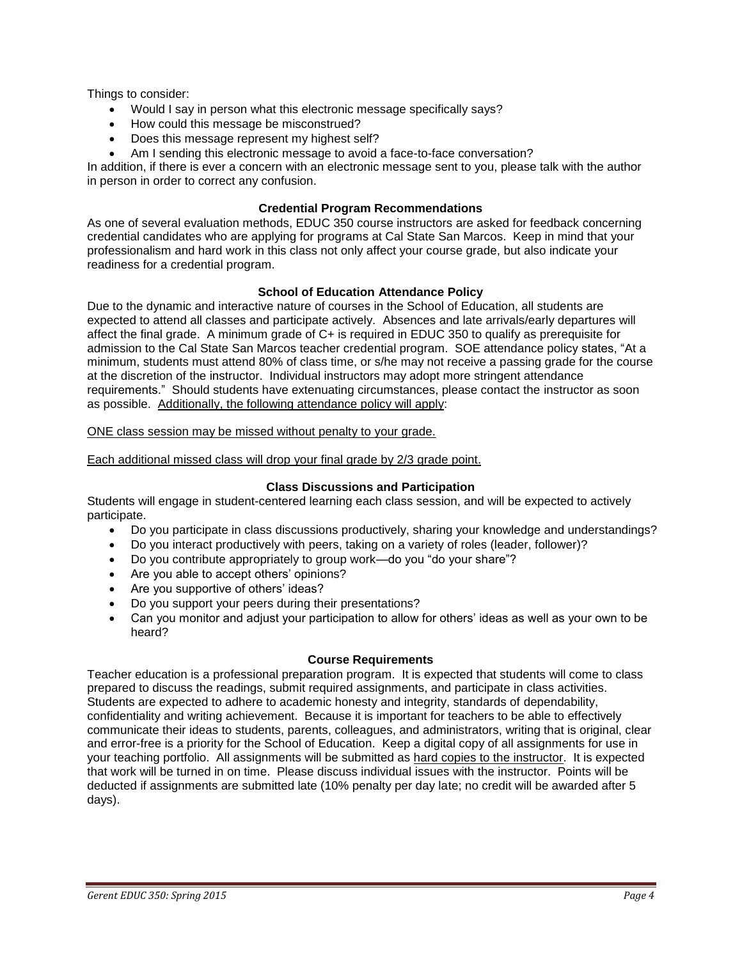Things to consider:

- Would I say in person what this electronic message specifically says?
- How could this message be misconstrued?
- Does this message represent my highest self?
- Am I sending this electronic message to avoid a face-to-face conversation?

In addition, if there is ever a concern with an electronic message sent to you, please talk with the author in person in order to correct any confusion.

### **Credential Program Recommendations**

As one of several evaluation methods, EDUC 350 course instructors are asked for feedback concerning credential candidates who are applying for programs at Cal State San Marcos. Keep in mind that your professionalism and hard work in this class not only affect your course grade, but also indicate your readiness for a credential program.

### **School of Education Attendance Policy**

Due to the dynamic and interactive nature of courses in the School of Education, all students are expected to attend all classes and participate actively. Absences and late arrivals/early departures will affect the final grade. A minimum grade of C+ is required in EDUC 350 to qualify as prerequisite for admission to the Cal State San Marcos teacher credential program. SOE attendance policy states, "At a minimum, students must attend 80% of class time, or s/he may not receive a passing grade for the course at the discretion of the instructor. Individual instructors may adopt more stringent attendance requirements." Should students have extenuating circumstances, please contact the instructor as soon as possible. Additionally, the following attendance policy will apply:

### ONE class session may be missed without penalty to your grade.

Each additional missed class will drop your final grade by 2/3 grade point.

## **Class Discussions and Participation**

Students will engage in student-centered learning each class session, and will be expected to actively participate.

- Do you participate in class discussions productively, sharing your knowledge and understandings?
- Do you interact productively with peers, taking on a variety of roles (leader, follower)?
- Do you contribute appropriately to group work—do you "do your share"?
- Are you able to accept others' opinions?
- Are you supportive of others' ideas?
- Do you support your peers during their presentations?
- Can you monitor and adjust your participation to allow for others' ideas as well as your own to be heard?

#### **Course Requirements**

Teacher education is a professional preparation program. It is expected that students will come to class prepared to discuss the readings, submit required assignments, and participate in class activities. Students are expected to adhere to academic honesty and integrity, standards of dependability, confidentiality and writing achievement. Because it is important for teachers to be able to effectively communicate their ideas to students, parents, colleagues, and administrators, writing that is original, clear and error-free is a priority for the School of Education. Keep a digital copy of all assignments for use in your teaching portfolio. All assignments will be submitted as hard copies to the instructor. It is expected that work will be turned in on time. Please discuss individual issues with the instructor. Points will be deducted if assignments are submitted late (10% penalty per day late; no credit will be awarded after 5 days).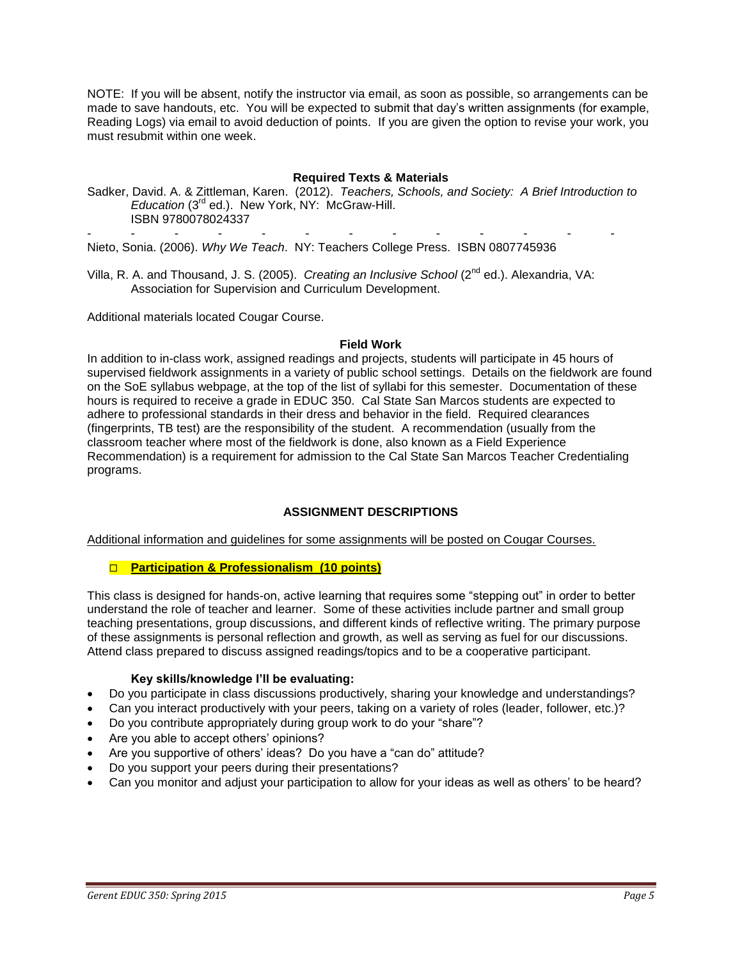NOTE: If you will be absent, notify the instructor via email, as soon as possible, so arrangements can be made to save handouts, etc. You will be expected to submit that day's written assignments (for example, Reading Logs) via email to avoid deduction of points. If you are given the option to revise your work, you must resubmit within one week.

### **Required Texts & Materials**

Sadker, David. A. & Zittleman, Karen. (2012). *Teachers, Schools, and Society: A Brief Introduction to Education* (3rd ed.). New York, NY: McGraw-Hill. ISBN 9780078024337

- - - - - - - - - - - - - Nieto, Sonia. (2006). *Why We Teach*. NY: Teachers College Press. ISBN 0807745936

Villa, R. A. and Thousand, J. S. (2005). *Creating an Inclusive School* (2<sup>nd</sup> ed.). Alexandria, VA: Association for Supervision and Curriculum Development.

Additional materials located Cougar Course.

#### **Field Work**

In addition to in-class work, assigned readings and projects, students will participate in 45 hours of supervised fieldwork assignments in a variety of public school settings. Details on the fieldwork are found on the SoE syllabus webpage, at the top of the list of syllabi for this semester. Documentation of these hours is required to receive a grade in EDUC 350. Cal State San Marcos students are expected to adhere to professional standards in their dress and behavior in the field. Required clearances (fingerprints, TB test) are the responsibility of the student. A recommendation (usually from the classroom teacher where most of the fieldwork is done, also known as a Field Experience Recommendation) is a requirement for admission to the Cal State San Marcos Teacher Credentialing programs.

#### **ASSIGNMENT DESCRIPTIONS**

Additional information and guidelines for some assignments will be posted on Cougar Courses.

#### **Participation & Professionalism (10 points)**

This class is designed for hands-on, active learning that requires some "stepping out" in order to better understand the role of teacher and learner. Some of these activities include partner and small group teaching presentations, group discussions, and different kinds of reflective writing. The primary purpose of these assignments is personal reflection and growth, as well as serving as fuel for our discussions. Attend class prepared to discuss assigned readings/topics and to be a cooperative participant.

#### **Key skills/knowledge I'll be evaluating:**

- Do you participate in class discussions productively, sharing your knowledge and understandings?
- Can you interact productively with your peers, taking on a variety of roles (leader, follower, etc.)?
- Do you contribute appropriately during group work to do your "share"?
- Are you able to accept others' opinions?
- Are you supportive of others' ideas? Do you have a "can do" attitude?
- Do you support your peers during their presentations?
- Can you monitor and adjust your participation to allow for your ideas as well as others' to be heard?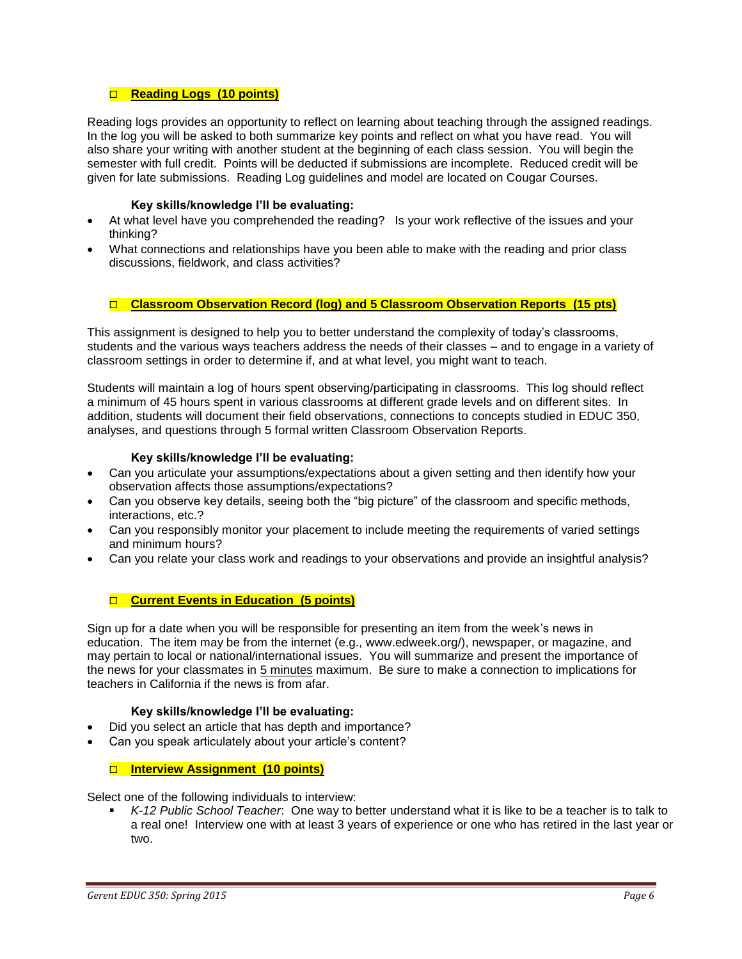## **Reading Logs (10 points)**

Reading logs provides an opportunity to reflect on learning about teaching through the assigned readings. In the log you will be asked to both summarize key points and reflect on what you have read. You will also share your writing with another student at the beginning of each class session. You will begin the semester with full credit. Points will be deducted if submissions are incomplete. Reduced credit will be given for late submissions. Reading Log guidelines and model are located on Cougar Courses.

#### **Key skills/knowledge I'll be evaluating:**

- At what level have you comprehended the reading? Is your work reflective of the issues and your thinking?
- What connections and relationships have you been able to make with the reading and prior class discussions, fieldwork, and class activities?

# **Classroom Observation Record (log) and 5 Classroom Observation Reports (15 pts)**

This assignment is designed to help you to better understand the complexity of today's classrooms, students and the various ways teachers address the needs of their classes – and to engage in a variety of classroom settings in order to determine if, and at what level, you might want to teach.

Students will maintain a log of hours spent observing/participating in classrooms. This log should reflect a minimum of 45 hours spent in various classrooms at different grade levels and on different sites. In addition, students will document their field observations, connections to concepts studied in EDUC 350, analyses, and questions through 5 formal written Classroom Observation Reports.

### **Key skills/knowledge I'll be evaluating:**

- Can you articulate your assumptions/expectations about a given setting and then identify how your observation affects those assumptions/expectations?
- Can you observe key details, seeing both the "big picture" of the classroom and specific methods, interactions, etc.?
- Can you responsibly monitor your placement to include meeting the requirements of varied settings and minimum hours?
- Can you relate your class work and readings to your observations and provide an insightful analysis?

## **Current Events in Education (5 points)**

Sign up for a date when you will be responsible for presenting an item from the week's news in education. The item may be from the internet (e.g., www.edweek.org/), newspaper, or magazine, and may pertain to local or national/international issues. You will summarize and present the importance of the news for your classmates in 5 minutes maximum. Be sure to make a connection to implications for teachers in California if the news is from afar.

#### **Key skills/knowledge I'll be evaluating:**

- Did you select an article that has depth and importance?
- Can you speak articulately about your article's content?

#### **Interview Assignment (10 points)**

Select one of the following individuals to interview:

 *K-12 Public School Teacher*: One way to better understand what it is like to be a teacher is to talk to a real one! Interview one with at least 3 years of experience or one who has retired in the last year or two.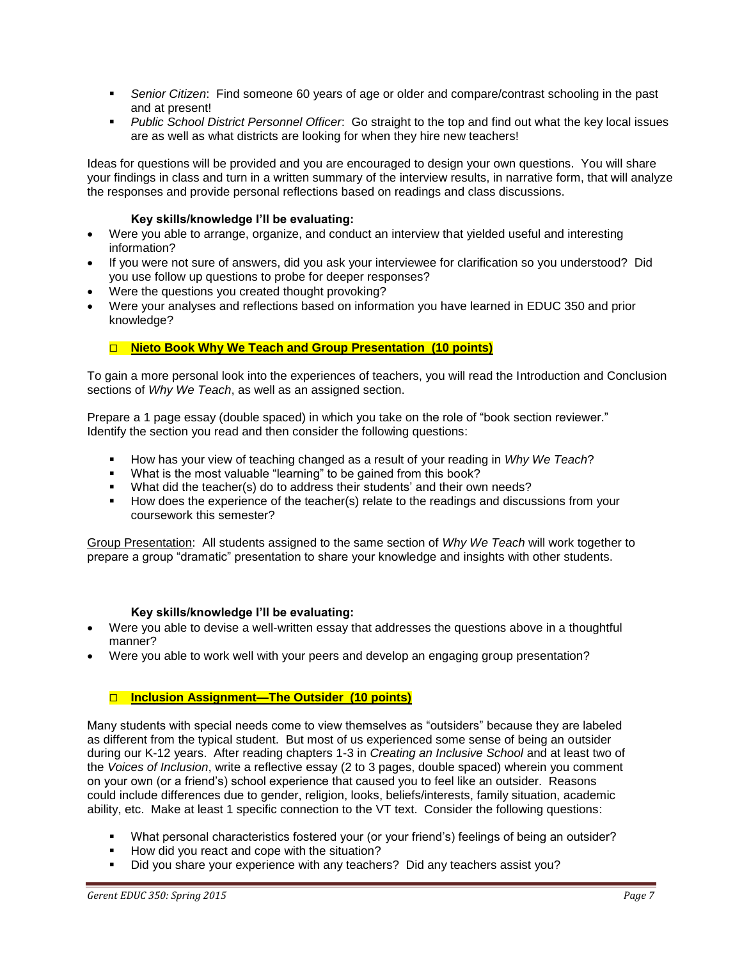- *Senior Citizen*: Find someone 60 years of age or older and compare/contrast schooling in the past and at present!
- *Public School District Personnel Officer*: Go straight to the top and find out what the key local issues are as well as what districts are looking for when they hire new teachers!

Ideas for questions will be provided and you are encouraged to design your own questions. You will share your findings in class and turn in a written summary of the interview results, in narrative form, that will analyze the responses and provide personal reflections based on readings and class discussions.

## **Key skills/knowledge I'll be evaluating:**

- Were you able to arrange, organize, and conduct an interview that yielded useful and interesting information?
- If you were not sure of answers, did you ask your interviewee for clarification so you understood? Did you use follow up questions to probe for deeper responses?
- Were the questions you created thought provoking?
- Were your analyses and reflections based on information you have learned in EDUC 350 and prior knowledge?

## **Nieto Book Why We Teach and Group Presentation (10 points)**

To gain a more personal look into the experiences of teachers, you will read the Introduction and Conclusion sections of *Why We Teach*, as well as an assigned section.

Prepare a 1 page essay (double spaced) in which you take on the role of "book section reviewer." Identify the section you read and then consider the following questions:

- How has your view of teaching changed as a result of your reading in *Why We Teach*?
- What is the most valuable "learning" to be gained from this book?
- What did the teacher(s) do to address their students' and their own needs?
- How does the experience of the teacher(s) relate to the readings and discussions from your coursework this semester?

Group Presentation: All students assigned to the same section of *Why We Teach* will work together to prepare a group "dramatic" presentation to share your knowledge and insights with other students.

#### **Key skills/knowledge I'll be evaluating:**

- Were you able to devise a well-written essay that addresses the questions above in a thoughtful manner?
- Were you able to work well with your peers and develop an engaging group presentation?

#### **Inclusion Assignment—The Outsider (10 points)**

Many students with special needs come to view themselves as "outsiders" because they are labeled as different from the typical student. But most of us experienced some sense of being an outsider during our K-12 years. After reading chapters 1-3 in *Creating an Inclusive School* and at least two of the *Voices of Inclusion*, write a reflective essay (2 to 3 pages, double spaced) wherein you comment on your own (or a friend's) school experience that caused you to feel like an outsider. Reasons could include differences due to gender, religion, looks, beliefs/interests, family situation, academic ability, etc. Make at least 1 specific connection to the VT text. Consider the following questions:

- What personal characteristics fostered your (or your friend's) feelings of being an outsider?
- How did you react and cope with the situation?
- Did you share your experience with any teachers? Did any teachers assist you?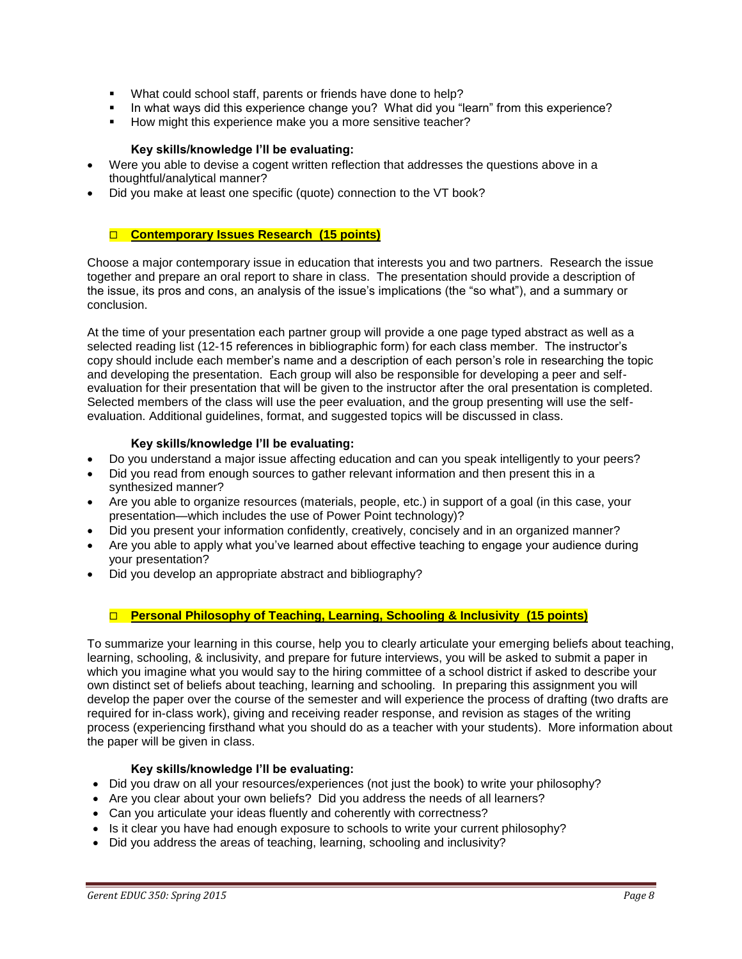- What could school staff, parents or friends have done to help?
- In what ways did this experience change you? What did you "learn" from this experience?
- How might this experience make you a more sensitive teacher?

## **Key skills/knowledge I'll be evaluating:**

- Were you able to devise a cogent written reflection that addresses the questions above in a thoughtful/analytical manner?
- Did you make at least one specific (quote) connection to the VT book?

# **Contemporary Issues Research (15 points)**

Choose a major contemporary issue in education that interests you and two partners. Research the issue together and prepare an oral report to share in class. The presentation should provide a description of the issue, its pros and cons, an analysis of the issue's implications (the "so what"), and a summary or conclusion.

At the time of your presentation each partner group will provide a one page typed abstract as well as a selected reading list (12-15 references in bibliographic form) for each class member. The instructor's copy should include each member's name and a description of each person's role in researching the topic and developing the presentation. Each group will also be responsible for developing a peer and selfevaluation for their presentation that will be given to the instructor after the oral presentation is completed. Selected members of the class will use the peer evaluation, and the group presenting will use the selfevaluation. Additional quidelines, format, and suggested topics will be discussed in class.

## **Key skills/knowledge I'll be evaluating:**

- Do you understand a major issue affecting education and can you speak intelligently to your peers?
- Did you read from enough sources to gather relevant information and then present this in a synthesized manner?
- Are you able to organize resources (materials, people, etc.) in support of a goal (in this case, your presentation—which includes the use of Power Point technology)?
- Did you present your information confidently, creatively, concisely and in an organized manner?
- Are you able to apply what you've learned about effective teaching to engage your audience during your presentation?
- Did you develop an appropriate abstract and bibliography?

# **Personal Philosophy of Teaching, Learning, Schooling & Inclusivity (15 points)**

To summarize your learning in this course, help you to clearly articulate your emerging beliefs about teaching, learning, schooling, & inclusivity, and prepare for future interviews, you will be asked to submit a paper in which you imagine what you would say to the hiring committee of a school district if asked to describe your own distinct set of beliefs about teaching, learning and schooling. In preparing this assignment you will develop the paper over the course of the semester and will experience the process of drafting (two drafts are required for in-class work), giving and receiving reader response, and revision as stages of the writing process (experiencing firsthand what you should do as a teacher with your students). More information about the paper will be given in class.

## **Key skills/knowledge I'll be evaluating:**

- Did you draw on all your resources/experiences (not just the book) to write your philosophy?
- Are you clear about your own beliefs? Did you address the needs of all learners?
- Can you articulate your ideas fluently and coherently with correctness?
- Is it clear you have had enough exposure to schools to write your current philosophy?
- Did you address the areas of teaching, learning, schooling and inclusivity?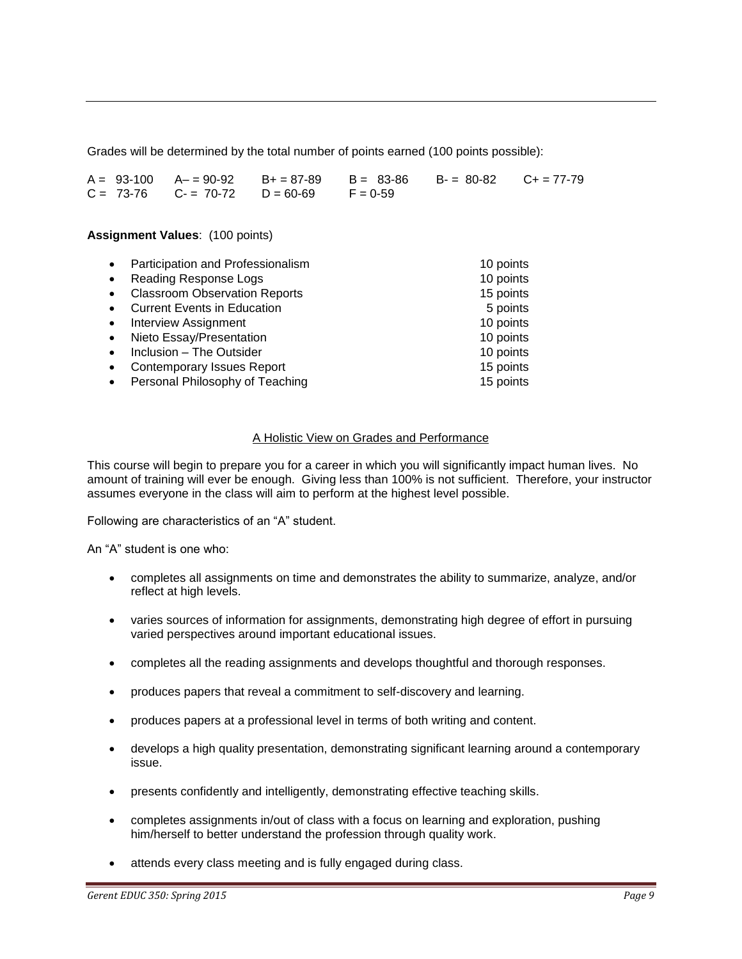Grades will be determined by the total number of points earned (100 points possible):

|  |                                                | $A = 93-100$ $A = 90-92$ $B = 87-89$ $B = 83-86$ $B = 80-82$ $C = 77-79$ |  |
|--|------------------------------------------------|--------------------------------------------------------------------------|--|
|  | $C = 73-76$ $C = 70-72$ $D = 60-69$ $F = 0-59$ |                                                                          |  |

#### **Assignment Values**: (100 points)

| Participation and Professionalism<br>$\bullet$    | 10 points |
|---------------------------------------------------|-----------|
| <b>Reading Response Logs</b><br>$\bullet$         | 10 points |
| <b>Classroom Observation Reports</b><br>$\bullet$ | 15 points |
| <b>Current Events in Education</b><br>$\bullet$   | 5 points  |
| Interview Assignment<br>$\bullet$                 | 10 points |
| Nieto Essay/Presentation<br>$\bullet$             | 10 points |
| Inclusion - The Outsider<br>$\bullet$             | 10 points |
| <b>Contemporary Issues Report</b><br>$\bullet$    | 15 points |
| Personal Philosophy of Teaching<br>$\bullet$      | 15 points |

### A Holistic View on Grades and Performance

This course will begin to prepare you for a career in which you will significantly impact human lives. No amount of training will ever be enough. Giving less than 100% is not sufficient. Therefore, your instructor assumes everyone in the class will aim to perform at the highest level possible.

Following are characteristics of an "A" student.

An "A" student is one who:

- completes all assignments on time and demonstrates the ability to summarize, analyze, and/or reflect at high levels.
- varies sources of information for assignments, demonstrating high degree of effort in pursuing varied perspectives around important educational issues.
- completes all the reading assignments and develops thoughtful and thorough responses.
- produces papers that reveal a commitment to self-discovery and learning.
- produces papers at a professional level in terms of both writing and content.
- develops a high quality presentation, demonstrating significant learning around a contemporary issue.
- presents confidently and intelligently, demonstrating effective teaching skills.
- completes assignments in/out of class with a focus on learning and exploration, pushing him/herself to better understand the profession through quality work.
- attends every class meeting and is fully engaged during class.